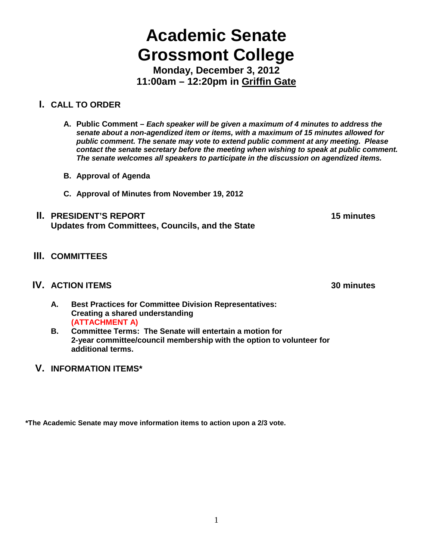# **Academic Senate Grossmont College**

**Monday, December 3, 2012 11:00am – 12:20pm in Griffin Gate**

## **I. CALL TO ORDER**

- **A. Public Comment –** *Each speaker will be given a maximum of 4 minutes to address the senate about a non-agendized item or items, with a maximum of 15 minutes allowed for public comment. The senate may vote to extend public comment at any meeting. Please contact the senate secretary before the meeting when wishing to speak at public comment. The senate welcomes all speakers to participate in the discussion on agendized items.*
- **B. Approval of Agenda**
- **C. Approval of Minutes from November 19, 2012**
- **II. PRESIDENT'S REPORT 15 minutes Updates from Committees, Councils, and the State**
- **III. COMMITTEES**

### **IV. ACTION ITEMS 30 minutes**

- **A. Best Practices for Committee Division Representatives: Creating a shared understanding (ATTACHMENT A)**
- **B. Committee Terms: The Senate will entertain a motion for 2-year committee/council membership with the option to volunteer for additional terms.**
- **V. INFORMATION ITEMS\***

**\*The Academic Senate may move information items to action upon a 2/3 vote.**